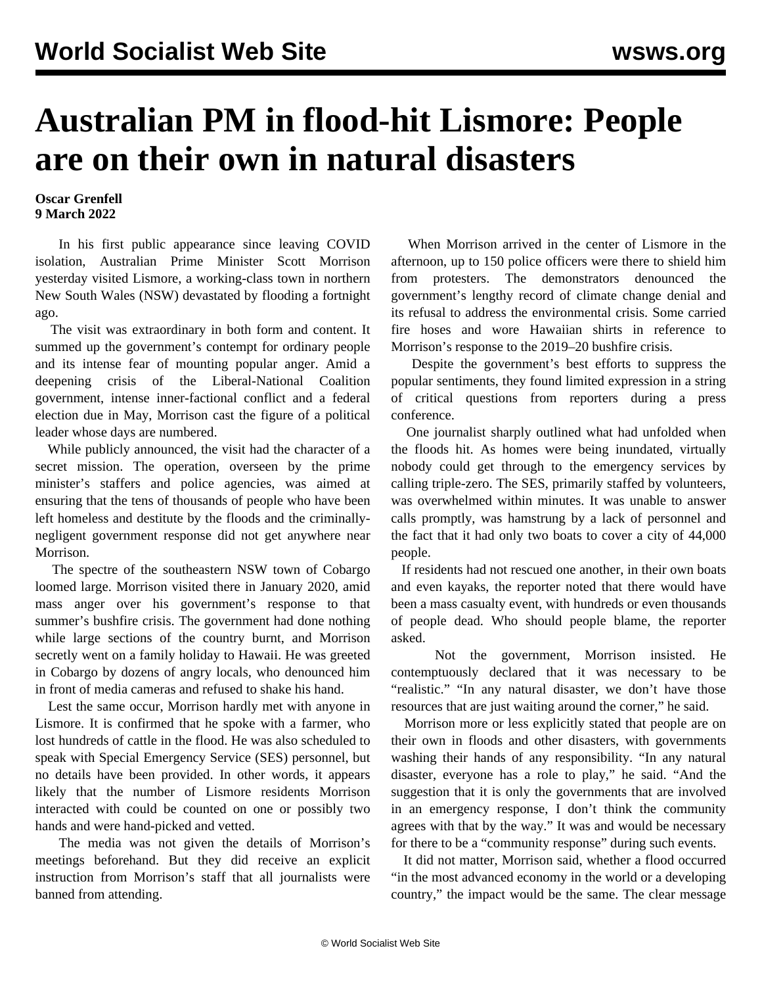## **Australian PM in flood-hit Lismore: People are on their own in natural disasters**

## **Oscar Grenfell 9 March 2022**

 In his first public appearance since leaving COVID isolation, Australian Prime Minister Scott Morrison yesterday visited Lismore, a working-class town in northern New South Wales (NSW) devastated by flooding a fortnight ago.

 The visit was extraordinary in both form and content. It summed up the government's contempt for ordinary people and its intense fear of mounting popular anger. Amid a deepening crisis of the Liberal-National Coalition government, intense inner-factional conflict and a federal election due in May, Morrison cast the figure of a political leader whose days are numbered.

 While publicly announced, the visit had the character of a secret mission. The operation, overseen by the prime minister's staffers and police agencies, was aimed at ensuring that the tens of thousands of people who have been left homeless and destitute by the floods and the criminallynegligent government response did not get anywhere near Morrison.

 The spectre of the southeastern NSW town of Cobargo loomed large. Morrison visited there in January 2020, amid mass anger over his government's response to that summer's bushfire crisis. The government had done nothing while large sections of the country burnt, and Morrison secretly went on a family holiday to Hawaii. He was greeted in Cobargo by dozens of angry locals, who denounced him in front of media cameras and refused to shake his hand.

 Lest the same occur, Morrison hardly met with anyone in Lismore. It is confirmed that he spoke with a farmer, who lost hundreds of cattle in the flood. He was also scheduled to speak with Special Emergency Service (SES) personnel, but no details have been provided. In other words, it appears likely that the number of Lismore residents Morrison interacted with could be counted on one or possibly two hands and were hand-picked and vetted.

 The media was not given the details of Morrison's meetings beforehand. But they did receive an explicit instruction from Morrison's staff that all journalists were banned from attending.

 When Morrison arrived in the center of Lismore in the afternoon, up to 150 police officers were there to shield him from protesters. The demonstrators denounced the government's lengthy record of climate change denial and its refusal to address the environmental crisis. Some carried fire hoses and wore Hawaiian shirts in reference to Morrison's response to the 2019–20 bushfire crisis.

 Despite the government's best efforts to suppress the popular sentiments, they found limited expression in a string of critical questions from reporters during a press conference.

 One journalist sharply outlined what had unfolded when the floods hit. As homes were being inundated, virtually nobody could get through to the emergency services by calling triple-zero. The SES, primarily staffed by volunteers, was overwhelmed within minutes. It was unable to answer calls promptly, was hamstrung by a lack of personnel and the fact that it had only two boats to cover a city of 44,000 people.

 If residents had not rescued one another, in their own boats and even kayaks, the reporter noted that there would have been a mass casualty event, with hundreds or even thousands of people dead. Who should people blame, the reporter asked.

 Not the government, Morrison insisted. He contemptuously declared that it was necessary to be "realistic." "In any natural disaster, we don't have those resources that are just waiting around the corner," he said.

 Morrison more or less explicitly stated that people are on their own in floods and other disasters, with governments washing their hands of any responsibility. "In any natural disaster, everyone has a role to play," he said. "And the suggestion that it is only the governments that are involved in an emergency response, I don't think the community agrees with that by the way." It was and would be necessary for there to be a "community response" during such events.

 It did not matter, Morrison said, whether a flood occurred "in the most advanced economy in the world or a developing country," the impact would be the same. The clear message